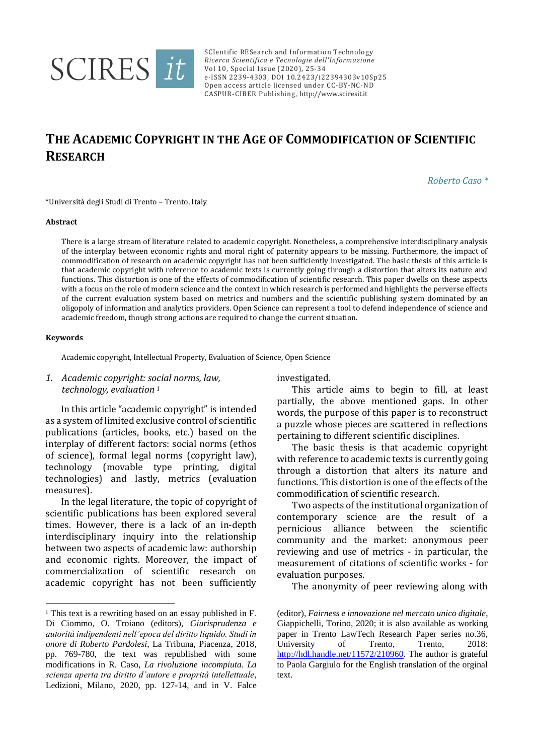

SCIentific RESearch and Information Technology *Ricerca Scientifica e Tecnologie dell'Informazione* Vol 10, Special Issue (2020), 25-34 e-ISSN 2239-4303, DOI 10.2423/i22394303v10Sp25 Open access article licensed under CC-BY-NC-ND CASPUR-CIBER Publishing, [http://www.sciresit.it](http://www.sciresit.it/)

# **THE ACADEMIC COPYRIGHT IN THE AGE OF COMMODIFICATION OF SCIENTIFIC RESEARCH**

*Roberto Caso \**

\*Università degli Studi di Trento – Trento, Italy

#### **Abstract**

There is a large stream of literature related to academic copyright. Nonetheless, a comprehensive interdisciplinary analysis of the interplay between economic rights and moral right of paternity appears to be missing. Furthermore, the impact of commodification of research on academic copyright has not been sufficiently investigated. The basic thesis of this article is that academic copyright with reference to academic texts is currently going through a distortion that alters its nature and functions. This distortion is one of the effects of commodification of scientific research. This paper dwells on these aspects with a focus on the role of modern science and the context in which research is performed and highlights the perverse effects of the current evaluation system based on metrics and numbers and the scientific publishing system dominated by an oligopoly of information and analytics providers. Open Science can represent a tool to defend independence of science and academic freedom, though strong actions are required to change the current situation.

#### **Keywords**

-

Academic copyright, Intellectual Property, Evaluation of Science, Open Science

## *1. Academic copyright: social norms, law, technology, evaluation <sup>1</sup>*

In this article "academic copyright" is intended as a system of limited exclusive control of scientific publications (articles, books, etc.) based on the interplay of different factors: social norms (ethos of science), formal legal norms (copyright law), technology (movable type printing, digital technologies) and lastly, metrics (evaluation measures).

In the legal literature, the topic of copyright of scientific publications has been explored several times. However, there is a lack of an in-depth interdisciplinary inquiry into the relationship between two aspects of academic law: authorship and economic rights. Moreover, the impact of commercialization of scientific research on academic copyright has not been sufficiently investigated.

This article aims to begin to fill, at least partially, the above mentioned gaps. In other words, the purpose of this paper is to reconstruct a puzzle whose pieces are scattered in reflections pertaining to different scientific disciplines.

The basic thesis is that academic copyright with reference to academic texts is currently going through a distortion that alters its nature and functions. This distortion is one of the effects of the commodification of scientific research.

Two aspects of the institutional organization of contemporary science are the result of a pernicious alliance between the scientific community and the market: anonymous peer reviewing and use of metrics - in particular, the measurement of citations of scientific works - for evaluation purposes.

The anonymity of peer reviewing along with

<sup>1</sup> This text is a rewriting based on an essay published in F. Di Ciommo, O. Troiano (editors), *Giurisprudenza e autorità indipendenti nell'epoca del diritto liquido. Studi in onore di Roberto Pardolesi*, La Tribuna, Piacenza, 2018, pp. 769-780, the text was republished with some modifications in R. Caso, *La rivoluzione incompiuta. La scienza aperta tra diritto d'autore e proprità intellettuale*, Ledizioni, Milano, 2020, pp. 127-14, and in V. Falce

<sup>(</sup>editor), *Fairness e innovazione nel mercato unico digitale*, Giappichelli, Torino, 2020; it is also available as working paper in Trento LawTech Research Paper series no.36, University of Trento, Trento, 2018: [http://hdl.handle.net/11572/210960.](http://hdl.handle.net/11572/210960) The author is grateful to Paola Gargiulo for the English translation of the orginal text.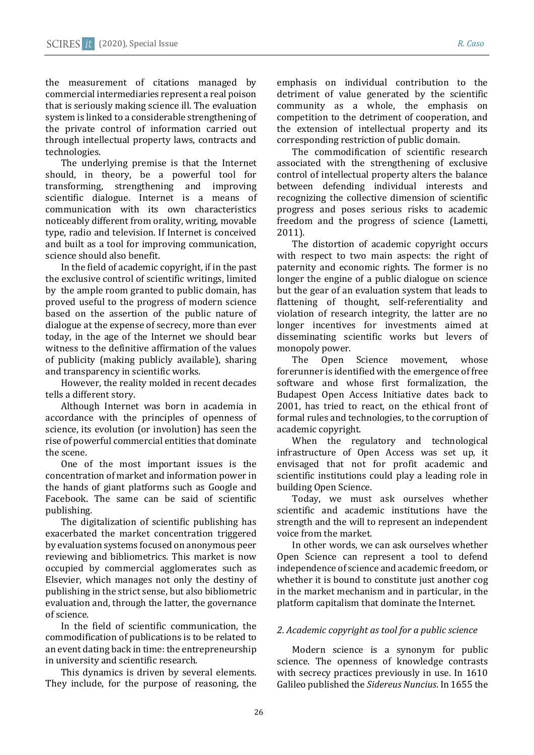the measurement of citations managed by commercial intermediaries represent a real poison that is seriously making science ill. The evaluation system is linked to a considerable strengthening of the private control of information carried out through intellectual property laws, contracts and technologies.

The underlying premise is that the Internet should, in theory, be a powerful tool for transforming, strengthening and improving scientific dialogue. Internet is a means of communication with its own characteristics noticeably different from orality, writing, movable type, radio and television. If Internet is conceived and built as a tool for improving communication, science should also benefit.

In the field of academic copyright, if in the past the exclusive control of scientific writings, limited by the ample room granted to public domain, has proved useful to the progress of modern science based on the assertion of the public nature of dialogue at the expense of secrecy, more than ever today, in the age of the Internet we should bear witness to the definitive affirmation of the values of publicity (making publicly available), sharing and transparency in scientific works.

However, the reality molded in recent decades tells a different story.

Although Internet was born in academia in accordance with the principles of openness of science, its evolution (or involution) has seen the rise of powerful commercial entities that dominate the scene.

One of the most important issues is the concentration of market and information power in the hands of giant platforms such as Google and Facebook. The same can be said of scientific publishing.

The digitalization of scientific publishing has exacerbated the market concentration triggered by evaluation systems focused on anonymous peer reviewing and bibliometrics. This market is now occupied by commercial agglomerates such as Elsevier, which manages not only the destiny of publishing in the strict sense, but also bibliometric evaluation and, through the latter, the governance of science.

In the field of scientific communication, the commodification of publications is to be related to an event dating back in time: the entrepreneurship in university and scientific research.

This dynamics is driven by several elements. They include, for the purpose of reasoning, the emphasis on individual contribution to the detriment of value generated by the scientific community as a whole, the emphasis on competition to the detriment of cooperation, and the extension of intellectual property and its corresponding restriction of public domain.

The commodification of scientific research associated with the strengthening of exclusive control of intellectual property alters the balance between defending individual interests and recognizing the collective dimension of scientific progress and poses serious risks to academic freedom and the progress of science (Lametti, 2011).

The distortion of academic copyright occurs with respect to two main aspects: the right of paternity and economic rights. The former is no longer the engine of a public dialogue on science but the gear of an evaluation system that leads to flattening of thought, self-referentiality and violation of research integrity, the latter are no longer incentives for investments aimed at disseminating scientific works but levers of monopoly power.

The Open Science movement, whose forerunner is identified with the emergence of free software and whose first formalization, the Budapest Open Access Initiative dates back to 2001, has tried to react, on the ethical front of formal rules and technologies, to the corruption of academic copyright.

When the regulatory and technological infrastructure of Open Access was set up, it envisaged that not for profit academic and scientific institutions could play a leading role in building Open Science.

Today, we must ask ourselves whether scientific and academic institutions have the strength and the will to represent an independent voice from the market.

In other words, we can ask ourselves whether Open Science can represent a tool to defend independence of science and academic freedom, or whether it is bound to constitute just another cog in the market mechanism and in particular, in the platform capitalism that dominate the Internet.

# *2. Academic copyright as tool for a public science*

Modern science is a synonym for public science. The openness of knowledge contrasts with secrecy practices previously in use. In 1610 Galileo published the *Sidereus Nuncius*. In 1655 the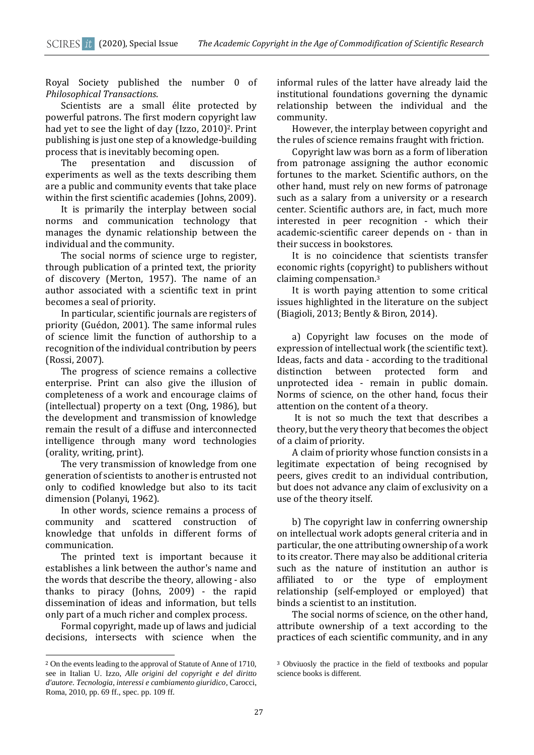Royal Society published the number 0 of *Philosophical Transactions*.

Scientists are a small élite protected by powerful patrons. The first modern copyright law had yet to see the light of day (Izzo, 2010)<sup>2</sup>. Print publishing is just one step of a knowledge-building process that is inevitably becoming open.

The presentation and discussion of experiments as well as the texts describing them are a public and community events that take place within the first scientific academies (Johns, 2009).

It is primarily the interplay between social norms and communication technology that manages the dynamic relationship between the individual and the community.

The social norms of science urge to register, through publication of a printed text, the priority of discovery (Merton, 1957). The name of an author associated with a scientific text in print becomes a seal of priority.

In particular, scientific journals are registers of priority (Guédon, 2001). The same informal rules of science limit the function of authorship to a recognition of the individual contribution by peers (Rossi, 2007).

The progress of science remains a collective enterprise. Print can also give the illusion of completeness of a work and encourage claims of (intellectual) property on a text (Ong, 1986), but the development and transmission of knowledge remain the result of a diffuse and interconnected intelligence through many word technologies (orality, writing, print).

The very transmission of knowledge from one generation of scientists to another is entrusted not only to codified knowledge but also to its tacit dimension (Polanyi, 1962).

In other words, science remains a process of community and scattered construction of knowledge that unfolds in different forms of communication.

The printed text is important because it establishes a link between the author's name and the words that describe the theory, allowing - also thanks to piracy (Johns, 2009) - the rapid dissemination of ideas and information, but tells only part of a much richer and complex process.

Formal copyright, made up of laws and judicial decisions, intersects with science when the

<u>.</u>

informal rules of the latter have already laid the institutional foundations governing the dynamic relationship between the individual and the community.

However, the interplay between copyright and the rules of science remains fraught with friction.

Copyright law was born as a form of liberation from patronage assigning the author economic fortunes to the market. Scientific authors, on the other hand, must rely on new forms of patronage such as a salary from a university or a research center. Scientific authors are, in fact, much more interested in peer recognition - which their academic-scientific career depends on - than in their success in bookstores.

It is no coincidence that scientists transfer economic rights (copyright) to publishers without claiming compensation.<sup>3</sup>

It is worth paying attention to some critical issues highlighted in the literature on the subject (Biagioli, 2013; Bently & Biron, 2014).

a) Copyright law focuses on the mode of expression of intellectual work (the scientific text). Ideas, facts and data - according to the traditional distinction between protected form and unprotected idea - remain in public domain. Norms of science, on the other hand, focus their attention on the content of a theory.

It is not so much the text that describes a theory, but the very theory that becomes the object of a claim of priority.

A claim of priority whose function consists in a legitimate expectation of being recognised by peers, gives credit to an individual contribution, but does not advance any claim of exclusivity on a use of the theory itself.

b) The copyright law in conferring ownership on intellectual work adopts general criteria and in particular, the one attributing ownership of a work to its creator. There may also be additional criteria such as the nature of institution an author is affiliated to or the type of employment relationship (self-employed or employed) that binds a scientist to an institution.

The social norms of science, on the other hand, attribute ownership of a text according to the practices of each scientific community, and in any

<sup>2</sup> On the events leading to the approval of Statute of Anne of 1710, see in Italian U. Izzo, *Alle origini del copyright e del diritto d'autore. Tecnologia, interessi e cambiamento giuridico*, Carocci, Roma, 2010, pp. 69 ff., spec. pp. 109 ff.

<sup>3</sup> Obviuosly the practice in the field of textbooks and popular science books is different.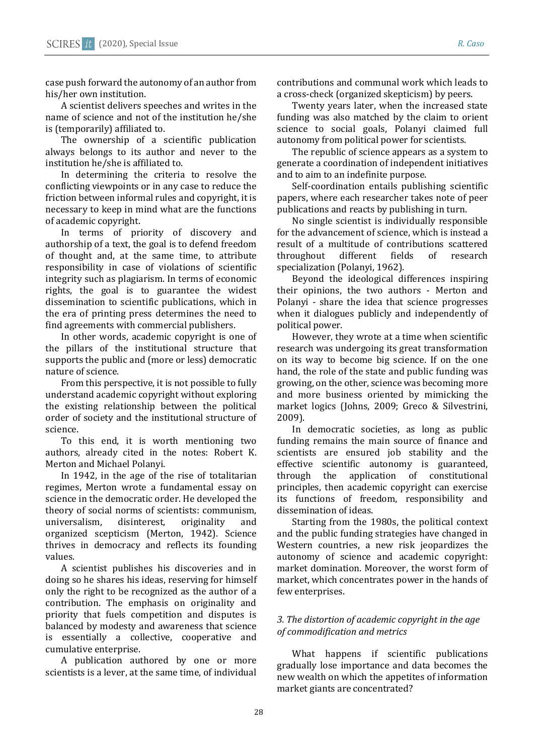case push forward the autonomy of an author from his/her own institution.

A scientist delivers speeches and writes in the name of science and not of the institution he/she is (temporarily) affiliated to.

The ownership of a scientific publication always belongs to its author and never to the institution he/she is affiliated to.

In determining the criteria to resolve the conflicting viewpoints or in any case to reduce the friction between informal rules and copyright, it is necessary to keep in mind what are the functions of academic copyright.

In terms of priority of discovery and authorship of a text, the goal is to defend freedom of thought and, at the same time, to attribute responsibility in case of violations of scientific integrity such as plagiarism. In terms of economic rights, the goal is to guarantee the widest dissemination to scientific publications, which in the era of printing press determines the need to find agreements with commercial publishers.

In other words, academic copyright is one of the pillars of the institutional structure that supports the public and (more or less) democratic nature of science.

From this perspective, it is not possible to fully understand academic copyright without exploring the existing relationship between the political order of society and the institutional structure of science.

To this end, it is worth mentioning two authors, already cited in the notes: Robert K. Merton and Michael Polanyi.

In 1942, in the age of the rise of totalitarian regimes, Merton wrote a fundamental essay on science in the democratic order. He developed the theory of social norms of scientists: communism, universalism, disinterest, originality and organized scepticism (Merton, 1942). Science thrives in democracy and reflects its founding values.

A scientist publishes his discoveries and in doing so he shares his ideas, reserving for himself only the right to be recognized as the author of a contribution. The emphasis on originality and priority that fuels competition and disputes is balanced by modesty and awareness that science is essentially a collective, cooperative and cumulative enterprise.

A publication authored by one or more scientists is a lever, at the same time, of individual

contributions and communal work which leads to a cross-check (organized skepticism) by peers.

Twenty years later, when the increased state funding was also matched by the claim to orient science to social goals, Polanyi claimed full autonomy from political power for scientists.

The republic of science appears as a system to generate a coordination of independent initiatives and to aim to an indefinite purpose.

Self-coordination entails publishing scientific papers, where each researcher takes note of peer publications and reacts by publishing in turn.

No single scientist is individually responsible for the advancement of science, which is instead a result of a multitude of contributions scattered throughout different fields of research specialization (Polanyi, 1962).

Beyond the ideological differences inspiring their opinions, the two authors - Merton and Polanyi - share the idea that science progresses when it dialogues publicly and independently of political power.

However, they wrote at a time when scientific research was undergoing its great transformation on its way to become big science. If on the one hand, the role of the state and public funding was growing, on the other, science was becoming more and more business oriented by mimicking the market logics (Johns, 2009; Greco & Silvestrini, 2009).

In democratic societies, as long as public funding remains the main source of finance and scientists are ensured job stability and the effective scientific autonomy is guaranteed, through the application of constitutional principles, then academic copyright can exercise its functions of freedom, responsibility and dissemination of ideas.

Starting from the 1980s, the political context and the public funding strategies have changed in Western countries, a new risk jeopardizes the autonomy of science and academic copyright: market domination. Moreover, the worst form of market, which concentrates power in the hands of few enterprises.

# *3. The distortion of academic copyright in the age of commodification and metrics*

What happens if scientific publications gradually lose importance and data becomes the new wealth on which the appetites of information market giants are concentrated?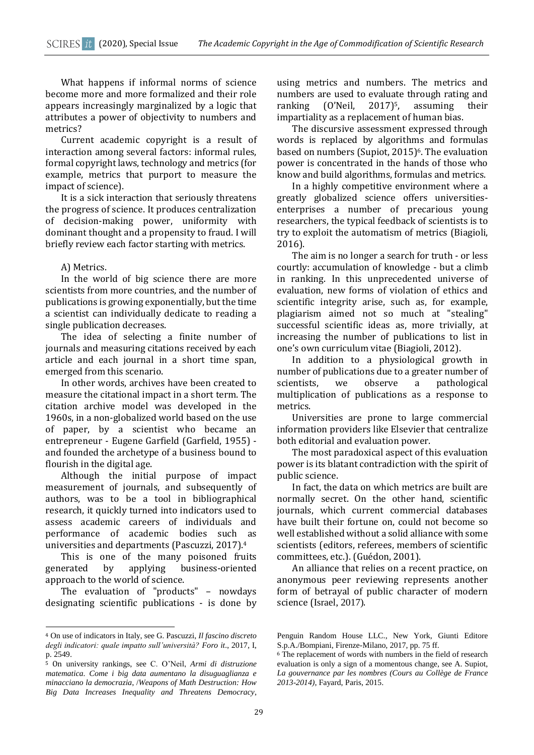What happens if informal norms of science become more and more formalized and their role appears increasingly marginalized by a logic that attributes a power of objectivity to numbers and metrics?

Current academic copyright is a result of interaction among several factors: informal rules, formal copyright laws, technology and metrics (for example, metrics that purport to measure the impact of science).

It is a sick interaction that seriously threatens the progress of science. It produces centralization of decision-making power, uniformity with dominant thought and a propensity to fraud. I will briefly review each factor starting with metrics.

### A) Metrics.

In the world of big science there are more scientists from more countries, and the number of publications is growing exponentially, but the time a scientist can individually dedicate to reading a single publication decreases.

The idea of selecting a finite number of journals and measuring citations received by each article and each journal in a short time span, emerged from this scenario.

In other words, archives have been created to measure the citational impact in a short term. The citation archive model was developed in the 1960s, in a non-globalized world based on the use of paper, by a scientist who became an entrepreneur - Eugene Garfield (Garfield, 1955) and founded the archetype of a business bound to flourish in the digital age.

Although the initial purpose of impact measurement of journals, and subsequently of authors, was to be a tool in bibliographical research, it quickly turned into indicators used to assess academic careers of individuals and performance of academic bodies such as universities and departments (Pascuzzi, 2017). 4

This is one of the many poisoned fruits generated by applying business-oriented approach to the world of science.

The evaluation of "products" – nowdays designating scientific publications - is done by

<u>.</u>

using metrics and numbers. The metrics and numbers are used to evaluate through rating and ranking (O'Neil, 2017)<sup>5</sup>, assuming their impartiality as a replacement of human bias.

The discursive assessment expressed through words is replaced by algorithms and formulas based on numbers (Supiot, 2015)<sup>6</sup>. The evaluation power is concentrated in the hands of those who know and build algorithms, formulas and metrics.

In a highly competitive environment where a greatly globalized science offers universitiesenterprises a number of precarious young researchers, the typical feedback of scientists is to try to exploit the automatism of metrics (Biagioli, 2016).

The aim is no longer a search for truth - or less courtly: accumulation of knowledge - but a climb in ranking. In this unprecedented universe of evaluation, new forms of violation of ethics and scientific integrity arise, such as, for example, plagiarism aimed not so much at "stealing" successful scientific ideas as, more trivially, at increasing the number of publications to list in one's own curriculum vitae (Biagioli, 2012).

In addition to a physiological growth in number of publications due to a greater number of scientists, we observe a pathological multiplication of publications as a response to metrics.

Universities are prone to large commercial information providers like Elsevier that centralize both editorial and evaluation power.

The most paradoxical aspect of this evaluation power is its blatant contradiction with the spirit of public science.

In fact, the data on which metrics are built are normally secret. On the other hand, scientific journals, which current commercial databases have built their fortune on, could not become so well established without a solid alliance with some scientists (editors, referees, members of scientific committees, etc.). (Guédon, 2001).

An alliance that relies on a recent practice, on anonymous peer reviewing represents another form of betrayal of public character of modern science (Israel, 2017).

<sup>4</sup> On use of indicators in Italy, see G. Pascuzzi, *Il fascino discreto degli indicatori: quale impatto sull'università? Foro it*., 2017, I, p. 2549.

<sup>5</sup> On university rankings, see C. O'Neil, *Armi di distruzione matematica. Come i big data aumentano la disuguaglianza e minacciano la democrazia*, /*Weapons of Math Destruction: How Big Data Increases Inequality and Threatens Democracy*,

Penguin Random House LLC., New York, Giunti Editore S.p.A./Bompiani, Firenze-Milano, 2017, pp. 75 ff.

<sup>6</sup> The replacement of words with numbers in the field of research evaluation is only a sign of a momentous change, see A. Supiot, *La gouvernance par les nombres (Cours au Collège de France 2013-2014)*, Fayard, Paris, 2015.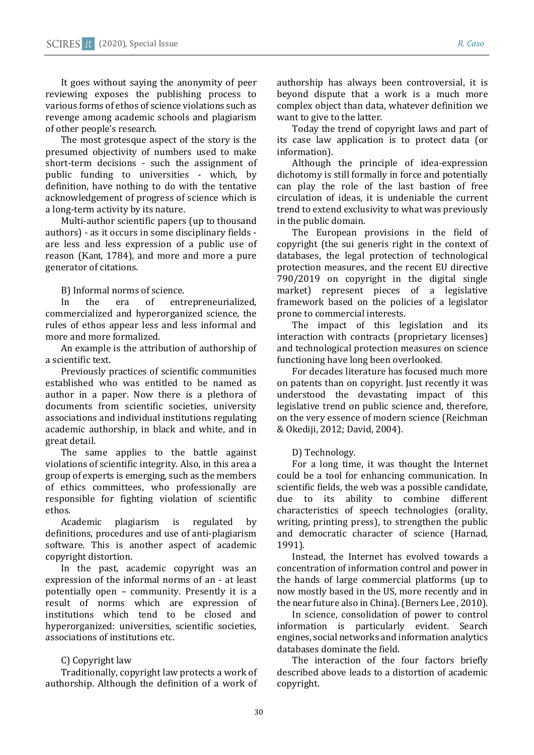It goes without saying the anonymity of peer reviewing exposes the publishing process to various forms of ethos of science violations such as revenge among academic schools and plagiarism of other people's research.

The most grotesque aspect of the story is the presumed objectivity of numbers used to make short-term decisions - such the assignment of public funding to universities - which, by definition, have nothing to do with the tentative acknowledgement of progress of science which is a long-term activity by its nature.

Multi-author scientific papers (up to thousand authors) - as it occurs in some disciplinary fields are less and less expression of a public use of reason (Kant, 1784), and more and more a pure generator of citations.

B) Informal norms of science.

In the era of entrepreneurialized, commercialized and hyperorganized science, the rules of ethos appear less and less informal and more and more formalized.

An example is the attribution of authorship of a scientific text.

Previously practices of scientific communities established who was entitled to be named as author in a paper. Now there is a plethora of documents from scientific societies, university associations and individual institutions regulating academic authorship, in black and white, and in great detail.

The same applies to the battle against violations of scientific integrity. Also, in this area a group of experts is emerging, such as the members of ethics committees, who professionally are responsible for fighting violation of scientific ethos.

Academic plagiarism is regulated by definitions, procedures and use of anti-plagiarism software. This is another aspect of academic copyright distortion.

In the past, academic copyright was an expression of the informal norms of an - at least potentially open – community. Presently it is a result of norms which are expression of institutions which tend to be closed and hyperorganized: universities, scientific societies, associations of institutions etc.

# C) Copyright law

Traditionally, copyright law protects a work of authorship. Although the definition of a work of authorship has always been controversial, it is beyond dispute that a work is a much more complex object than data, whatever definition we want to give to the latter.

Today the trend of copyright laws and part of its case law application is to protect data (or information).

Although the principle of idea-expression dichotomy is still formally in force and potentially can play the role of the last bastion of free circulation of ideas, it is undeniable the current trend to extend exclusivity to what was previously in the public domain.

The European provisions in the field of copyright (the sui generis right in the context of databases, the legal protection of technological protection measures, and the recent EU directive 790/2019 on copyright in the digital single market) represent pieces of a legislative framework based on the policies of a legislator prone to commercial interests.

The impact of this legislation and its interaction with contracts (proprietary licenses) and technological protection measures on science functioning have long been overlooked.

For decades literature has focused much more on patents than on copyright. Just recently it was understood the devastating impact of this legislative trend on public science and, therefore, on the very essence of modern science (Reichman & Okediji, 2012; David, 2004).

# D) Technology.

For a long time, it was thought the Internet could be a tool for enhancing communication. In scientific fields, the web was a possible candidate, due to its ability to combine different characteristics of speech technologies (orality, writing, printing press), to strengthen the public and democratic character of science (Harnad, 1991).

Instead, the Internet has evolved towards a concentration of information control and power in the hands of large commercial platforms (up to now mostly based in the US, more recently and in the near future also in China). (Berners Lee, 2010).

In science, consolidation of power to control information is particularly evident. Search engines, social networks and information analytics databases dominate the field.

The interaction of the four factors briefly described above leads to a distortion of academic copyright.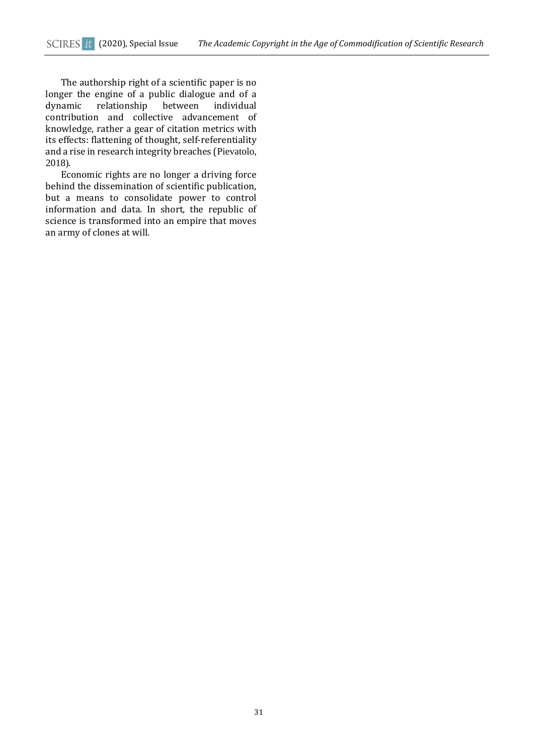The authorship right of a scientific paper is no longer the engine of a public dialogue and of a<br>dynamic relationship between individual dynamic relationship between individual contribution and collective advancement of knowledge, rather a gear of citation metrics with its effects: flattening of thought, self-referentiality and a rise in research integrity breaches (Pievatolo, 2018).

Economic rights are no longer a driving force behind the dissemination of scientific publication, but a means to consolidate power to control information and data. In short, the republic of science is transformed into an empire that moves an army of clones at will.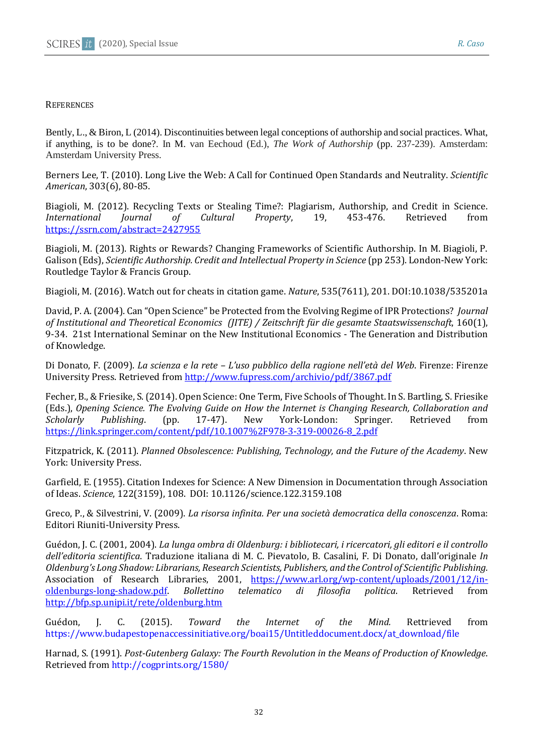# **REFERENCES**

Bently, L., & Biron, L (2014). Discontinuities between legal conceptions of authorship and social practices. What, if anything, is to be done?. In M. van Eechoud (Ed.), *The Work of Authorship* (pp. 237-239). Amsterdam: Amsterdam University Press.

Berners Lee, T. (2010). Long Live the Web: A Call for Continued Open Standards and Neutrality. *Scientific American*, 303(6), 80-85.

Biagioli, M. (2012). Recycling Texts or Stealing Time?: Plagiarism, Authorship, and Credit in Science. *International Journal of Cultural Property*, 19, 453-476. Retrieved from <https://ssrn.com/abstract=2427955>

Biagioli, M. (2013). Rights or Rewards? Changing Frameworks of Scientific Authorship. In M. Biagioli, P. Galison (Eds), *Scientific Authorship. Credit and Intellectual Property in Science* (pp 253). London-New York: Routledge Taylor & Francis Group.

Biagioli, M. (2016). Watch out for cheats in citation game. *Nature*, 535(7611), 201. DOI:10.1038/535201a

David, P. A. (2004). Can "Open Science" be Protected from the Evolving Regime of IPR Protections? *Journal of Institutional and Theoretical Economics (JITE) / Zeitschrift für die gesamte Staatswissenschaft*, 160(1), 9-34. 21st International Seminar on the New Institutional Economics - The Generation and Distribution of Knowledge.

Di Donato, F. (2009). *La scienza e la rete – L'uso pubblico della ragione nell'età del Web*. Firenze: Firenze University Press. Retrieved from <http://www.fupress.com/archivio/pdf/3867.pdf>

Fecher, B., & Friesike, S.(2014). Open Science: One Term, Five Schools of Thought. In S. Bartling, S. Friesike (Eds.), *Opening Science. The Evolving Guide on How the Internet is Changing Research, Collaboration and Scholarly Publishing*. (pp. 17-47). New York-London: Springer. Retrieved from [https://link.springer.com/content/pdf/10.1007%2F978-3-319-00026-8\\_2.pdf](https://link.springer.com/content/pdf/10.1007%2F978-3-319-00026-8_2.pdf)

Fitzpatrick, K. (2011). *Planned Obsolescence: Publishing, Technology, and the Future of the Academy*. New York: University Press.

Garfield, E. (1955). Citation Indexes for Science: A New Dimension in Documentation through Association of Ideas. *Science*, 122(3159), 108. DOI: 10.1126/science.122.3159.108

Greco, P., & Silvestrini, V. (2009). *La risorsa infinita. Per una società democratica della conoscenza*. Roma: Editori Riuniti-University Press.

Guédon, J. C. (2001, 2004). *La lunga ombra di Oldenburg: i bibliotecari, i ricercatori, gli editori e il controllo dell'editoria scientifica*. Traduzione italiana di M. C. Pievatolo, B. Casalini, F. Di Donato, dall'originale *In Oldenburg's Long Shadow: Librarians, Research Scientists, Publishers, and the Control of Scientific Publishing.* Association of Research Libraries, 2001, [https://www.arl.org/wp-content/uploads/2001/12/in](https://www.arl.org/wp-content/uploads/2001/12/in-oldenburgs-long-shadow.pdf)[oldenburgs-long-shadow.pdf.](https://www.arl.org/wp-content/uploads/2001/12/in-oldenburgs-long-shadow.pdf) *Bollettino telematico di filosofia politica*. Retrieved from <http://bfp.sp.unipi.it/rete/oldenburg.htm>

Guédon, J. C. (2015). *Toward the Internet of the Mind.* Rettrieved from https://www.budapestopenaccessinitiative.org/boai15/Untitleddocument.docx/at\_download/file

Harnad, S. (1991). *Post-Gutenberg Galaxy: The Fourth Revolution in the Means of Production of Knowledge*. Retrieved from http://cogprints.org/1580/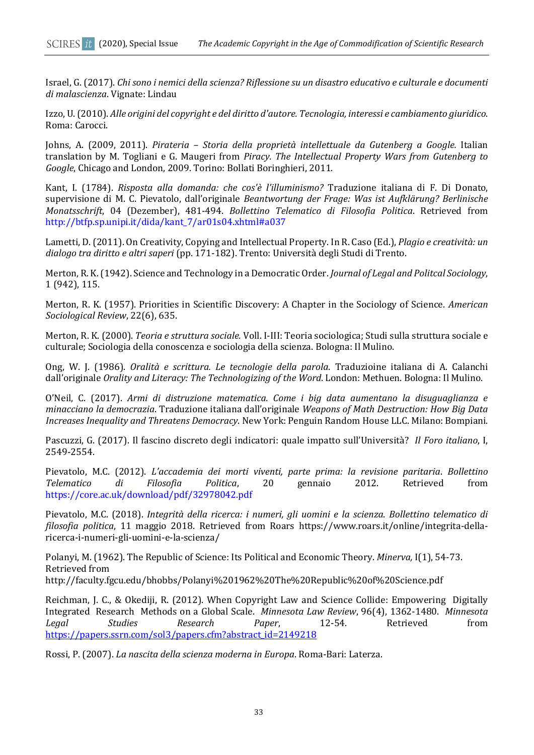Israel, G. (2017). *Chi sono i nemici della scienza? Riflessione su un disastro educativo e culturale e documenti di malascienza*. Vignate: Lindau

Izzo, U. (2010). *Alle origini del copyright e del diritto d'autore. Tecnologia, interessi e cambiamento giuridico*. Roma: Carocci.

Johns, A. (2009, 2011). *Pirateria – Storia della proprietà intellettuale da Gutenberg a Google.* Italian translation by M. Togliani e G. Maugeri from *Piracy. The Intellectual Property Wars from Gutenberg to Google*, Chicago and London, 2009. Torino: Bollati Boringhieri, 2011.

Kant, I. (1784). *Risposta alla domanda: che cos'è l'illuminismo?* Traduzione italiana di F. Di Donato, supervisione di M. C. Pievatolo, dall'originale *Beantwortung der Frage: Was ist Aufklärung? Berlinische Monatsschrift*, 04 (Dezember), 481-494. *Bollettino Telematico di Filosofia Politica*. Retrieved from http://btfp.sp.unipi.it/dida/kant\_7/ar01s04.xhtml#a037

Lametti, D. (2011). On Creativity, Copying and Intellectual Property. In R. Caso (Ed.), *Plagio e creatività: un dialogo tra diritto e altri saperi* (pp. 171-182). Trento: Università degli Studi di Trento.

Merton, R. K. (1942). Science and Technology in a Democratic Order. *Journal of Legal and Politcal Sociology*, 1 (942), 115.

Merton, R. K. (1957). Priorities in Scientific Discovery: A Chapter in the Sociology of Science. *American Sociological Review*, 22(6), 635.

Merton, R. K. (2000). *Teoria e struttura sociale.* Voll. I-III: Teoria sociologica; Studi sulla struttura sociale e culturale; Sociologia della conoscenza e sociologia della scienza. Bologna: Il Mulino.

Ong, W. J. (1986). *Oralità e scrittura. Le tecnologie della parola*. Traduzioine italiana di A. Calanchi dall'originale *Orality and Literacy: The Technologizing of the Word*. London: Methuen. Bologna: Il Mulino.

O'Neil, C. (2017). *Armi di distruzione matematica. Come i big data aumentano la disuguaglianza e minacciano la democrazia*. Traduzione italiana dall'originale *Weapons of Math Destruction: How Big Data Increases Inequality and Threatens Democracy*. New York: Penguin Random House LLC. Milano: Bompiani.

Pascuzzi, G. (2017). Il fascino discreto degli indicatori: quale impatto sull'Università? *Il Foro italiano*, I, 2549-2554.

Pievatolo, M.C. (2012). *L'accademia dei morti viventi, parte prima: la revisione paritaria*. *Bollettino Telematico di Filosofia Politica*, 20 gennaio 2012. Retrieved from https://core.ac.uk/download/pdf/32978042.pdf

Pievatolo, M.C. (2018). *Integrità della ricerca: i numeri, gli uomini e la scienza*. *Bollettino telematico di filosofia politica*, 11 maggio 2018. Retrieved from Roars https://www.roars.it/online/integrita-dellaricerca-i-numeri-gli-uomini-e-la-scienza/

Polanyi, M. (1962). The Republic of Science: Its Political and Economic Theory. *Minerva,* I(1), 54-73. Retrieved from http://faculty.fgcu.edu/bhobbs/Polanyi%201962%20The%20Republic%20of%20Science.pdf

Reichman, J. C., & Okediji, R. (2012). When Copyright Law and Science Collide: Empowering Digitally Integrated Research Methods on a Global Scale. *Minnesota Law Review*, 96(4), 1362-1480. *Minnesota Legal Studies Research Paper*, 12-54. Retrieved from [https://papers.ssrn.com/sol3/papers.cfm?abstract\\_id=2149218](https://papers.ssrn.com/sol3/papers.cfm?abstract_id=2149218)

Rossi, P. (2007). *La nascita della scienza moderna in Europa*. Roma-Bari: Laterza.